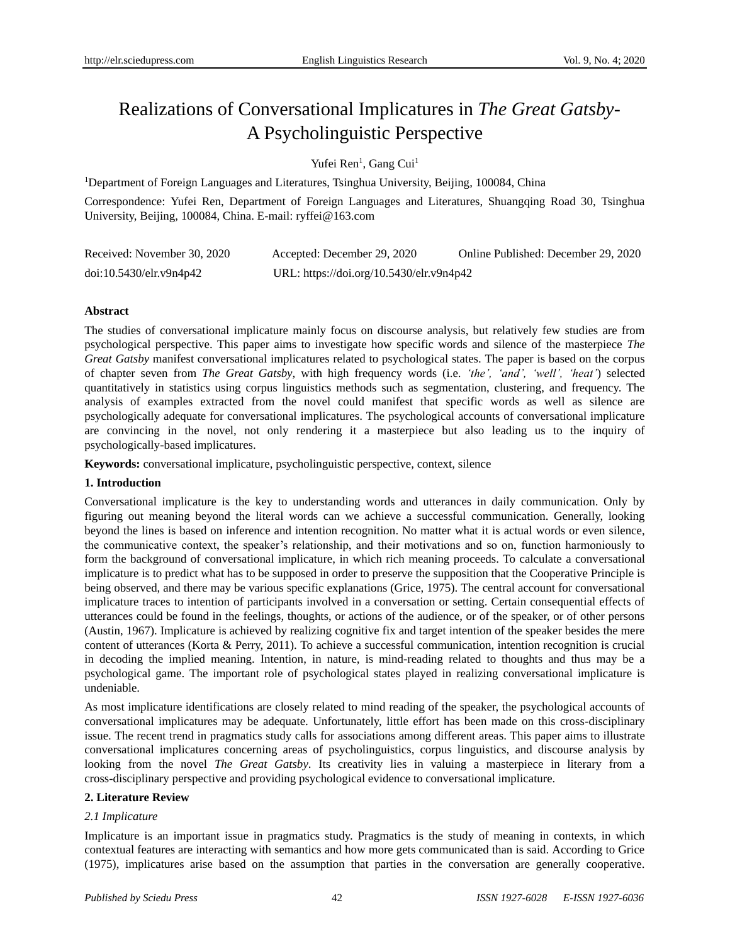# Realizations of Conversational Implicatures in *The Great Gatsby*-A Psycholinguistic Perspective

Yufei Ren<sup>1</sup>, Gang Cui<sup>1</sup>

<sup>1</sup>Department of Foreign Languages and Literatures, Tsinghua University, Beijing, 100084, China

Correspondence: Yufei Ren, Department of Foreign Languages and Literatures, Shuangqing Road 30, Tsinghua University, Beijing, 100084, China. E-mail: ryffei@163.com

| Received: November 30, 2020 | Accepted: December 29, 2020              | Online Published: December 29, 2020 |
|-----------------------------|------------------------------------------|-------------------------------------|
| doi:10.5430/elr.v9n4p42     | URL: https://doi.org/10.5430/elr.v9n4p42 |                                     |

# **Abstract**

The studies of conversational implicature mainly focus on discourse analysis, but relatively few studies are from psychological perspective. This paper aims to investigate how specific words and silence of the masterpiece *The Great Gatsby* manifest conversational implicatures related to psychological states. The paper is based on the corpus of chapter seven from *The Great Gatsby*, with high frequency words (i.e. *'the', 'and', 'well', 'heat'*) selected quantitatively in statistics using corpus linguistics methods such as segmentation, clustering, and frequency. The analysis of examples extracted from the novel could manifest that specific words as well as silence are psychologically adequate for conversational implicatures. The psychological accounts of conversational implicature are convincing in the novel, not only rendering it a masterpiece but also leading us to the inquiry of psychologically-based implicatures.

**Keywords:** conversational implicature, psycholinguistic perspective, context, silence

# **1. Introduction**

Conversational implicature is the key to understanding words and utterances in daily communication. Only by figuring out meaning beyond the literal words can we achieve a successful communication. Generally, looking beyond the lines is based on inference and intention recognition. No matter what it is actual words or even silence, the communicative context, the speaker's relationship, and their motivations and so on, function harmoniously to form the background of conversational implicature, in which rich meaning proceeds. To calculate a conversational implicature is to predict what has to be supposed in order to preserve the supposition that the Cooperative Principle is being observed, and there may be various specific explanations (Grice, 1975). The central account for conversational implicature traces to intention of participants involved in a conversation or setting. Certain consequential effects of utterances could be found in the feelings, thoughts, or actions of the audience, or of the speaker, or of other persons (Austin, 1967). Implicature is achieved by realizing cognitive fix and target intention of the speaker besides the mere content of utterances (Korta & Perry, 2011). To achieve a successful communication, intention recognition is crucial in decoding the implied meaning. Intention, in nature, is mind-reading related to thoughts and thus may be a psychological game. The important role of psychological states played in realizing conversational implicature is undeniable.

As most implicature identifications are closely related to mind reading of the speaker, the psychological accounts of conversational implicatures may be adequate. Unfortunately, little effort has been made on this cross-disciplinary issue. The recent trend in pragmatics study calls for associations among different areas. This paper aims to illustrate conversational implicatures concerning areas of psycholinguistics, corpus linguistics, and discourse analysis by looking from the novel *The Great Gatsby*. Its creativity lies in valuing a masterpiece in literary from a cross-disciplinary perspective and providing psychological evidence to conversational implicature.

# **2. Literature Review**

# *2.1 Implicature*

Implicature is an important issue in pragmatics study. Pragmatics is the study of meaning in contexts, in which contextual features are interacting with semantics and how more gets communicated than is said. According to Grice (1975), implicatures arise based on the assumption that parties in the conversation are generally cooperative.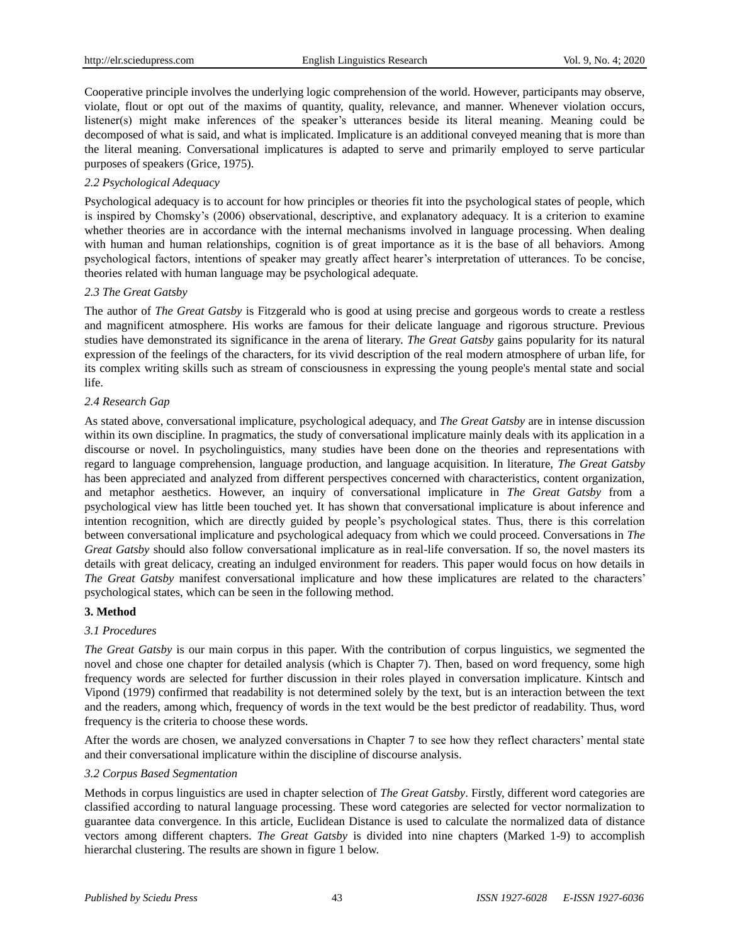Cooperative principle involves the underlying logic comprehension of the world. However, participants may observe, violate, flout or opt out of the maxims of quantity, quality, relevance, and manner. Whenever violation occurs, listener(s) might make inferences of the speaker's utterances beside its literal meaning. Meaning could be decomposed of what is said, and what is implicated. Implicature is an additional conveyed meaning that is more than the literal meaning. Conversational implicatures is adapted to serve and primarily employed to serve particular purposes of speakers (Grice, 1975).

# *2.2 Psychological Adequacy*

Psychological adequacy is to account for how principles or theories fit into the psychological states of people, which is inspired by Chomsky's (2006) observational, descriptive, and explanatory adequacy. It is a criterion to examine whether theories are in accordance with the internal mechanisms involved in language processing. When dealing with human and human relationships, cognition is of great importance as it is the base of all behaviors. Among psychological factors, intentions of speaker may greatly affect hearer's interpretation of utterances. To be concise, theories related with human language may be psychological adequate.

# *2.3 The Great Gatsby*

The author of *The Great Gatsby* is Fitzgerald who is good at using precise and gorgeous words to create a restless and magnificent atmosphere. His works are famous for their delicate language and rigorous structure. Previous studies have demonstrated its significance in the arena of literary. *The Great Gatsby* gains popularity for its natural expression of the feelings of the characters, for its vivid description of the real modern atmosphere of urban life, for its complex writing skills such as stream of consciousness in expressing the young people's mental state and social life.

# *2.4 Research Gap*

As stated above, conversational implicature, psychological adequacy, and *The Great Gatsby* are in intense discussion within its own discipline. In pragmatics, the study of conversational implicature mainly deals with its application in a discourse or novel. In psycholinguistics, many studies have been done on the theories and representations with regard to language comprehension, language production, and language acquisition. In literature, *The Great Gatsby* has been appreciated and analyzed from different perspectives concerned with characteristics, content organization, and metaphor aesthetics. However, an inquiry of conversational implicature in *The Great Gatsby* from a psychological view has little been touched yet. It has shown that conversational implicature is about inference and intention recognition, which are directly guided by people's psychological states. Thus, there is this correlation between conversational implicature and psychological adequacy from which we could proceed. Conversations in *The Great Gatsby* should also follow conversational implicature as in real-life conversation. If so, the novel masters its details with great delicacy, creating an indulged environment for readers. This paper would focus on how details in *The Great Gatsby* manifest conversational implicature and how these implicatures are related to the characters' psychological states, which can be seen in the following method.

# **3. Method**

# *3.1 Procedures*

*The Great Gatsby* is our main corpus in this paper. With the contribution of corpus linguistics, we segmented the novel and chose one chapter for detailed analysis (which is Chapter 7). Then, based on word frequency, some high frequency words are selected for further discussion in their roles played in conversation implicature. Kintsch and Vipond (1979) confirmed that readability is not determined solely by the text, but is an interaction between the text and the readers, among which, frequency of words in the text would be the best predictor of readability. Thus, word frequency is the criteria to choose these words.

After the words are chosen, we analyzed conversations in Chapter 7 to see how they reflect characters' mental state and their conversational implicature within the discipline of discourse analysis.

# *3.2 Corpus Based Segmentation*

Methods in corpus linguistics are used in chapter selection of *The Great Gatsby*. Firstly, different word categories are classified according to natural language processing. These word categories are selected for vector normalization to guarantee data convergence. In this article, Euclidean Distance is used to calculate the normalized data of distance vectors among different chapters. *The Great Gatsby* is divided into nine chapters (Marked 1-9) to accomplish hierarchal clustering. The results are shown in figure 1 below.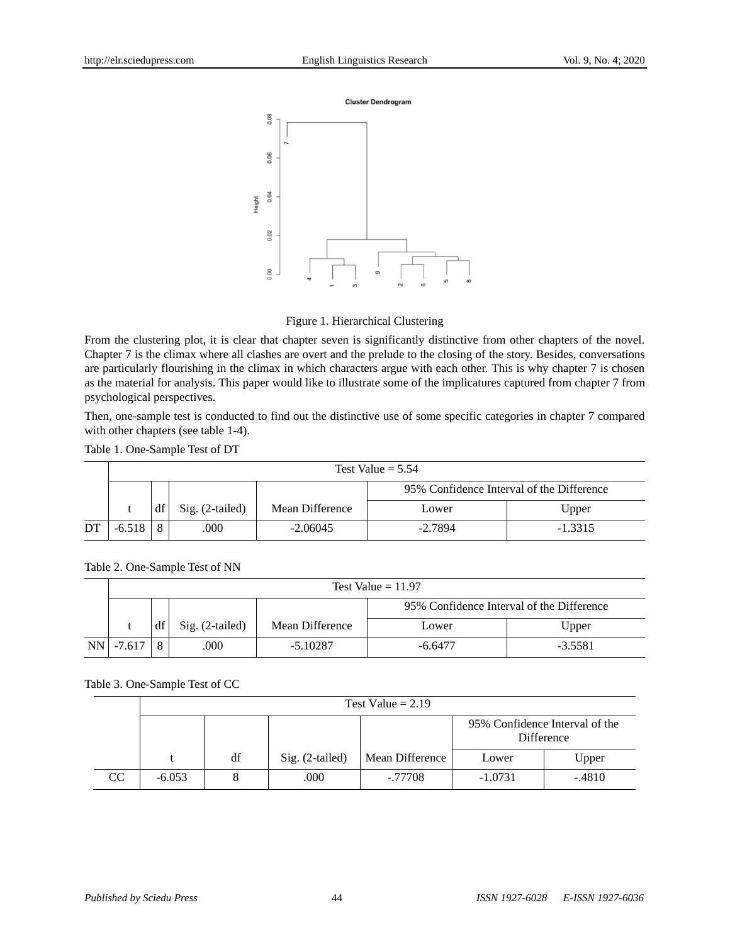

## Figure 1. Hierarchical Clustering

From the clustering plot, it is clear that chapter seven is significantly distinctive from other chapters of the novel. Chapter 7 is the climax where all clashes are overt and the prelude to the closing of the story. Besides, conversations are particularly flourishing in the climax in which characters argue with each other. This is why chapter 7 is chosen as the material for analysis. This paper would like to illustrate some of the implicatures captured from chapter 7 from psychological perspectives.

Then, one-sample test is conducted to find out the distinctive use of some specific categories in chapter 7 compared with other chapters (see table 1-4).

Table 1. One-Sample Test of DT

|    | Test Value $= 5.54$ |         |                 |                 |                                           |           |  |
|----|---------------------|---------|-----------------|-----------------|-------------------------------------------|-----------|--|
|    |                     |         |                 |                 | 95% Confidence Interval of the Difference |           |  |
|    |                     | df      | Sig. (2-tailed) | Mean Difference | Lower                                     | Upper     |  |
| DT |                     | $\circ$ | .000            | $-2.06045$      | $-2.7894$                                 | $-1.3315$ |  |

|  |  | <b>TT 1</b><br>Test <sup>1</sup> | /alue = 11.97 |
|--|--|----------------------------------|---------------|
|  |  |                                  | 0.50          |

|            |    |                   |                 | 95% Confidence Interval of the Difference |           |  |
|------------|----|-------------------|-----------------|-------------------------------------------|-----------|--|
|            | df | $Sig. (2-tailed)$ | Mean Difference | Lower                                     | Upper     |  |
| NN - 7.617 |    | 000               | $-5.10287$      | $-6.6477$                                 | $-3.5581$ |  |

### Table 3. One-Sample Test of CC

Table 2. One-Sample Test of NN

|    |          | Test Value $= 2.19$ |                   |                 |                                              |          |  |
|----|----------|---------------------|-------------------|-----------------|----------------------------------------------|----------|--|
|    |          |                     |                   |                 | 95% Confidence Interval of the<br>Difference |          |  |
|    |          | df                  | $Sig. (2-tailed)$ | Mean Difference | Lower                                        | Upper    |  |
| CC | $-6.053$ |                     | .000              | -.77708         | $-1.0731$                                    | $-.4810$ |  |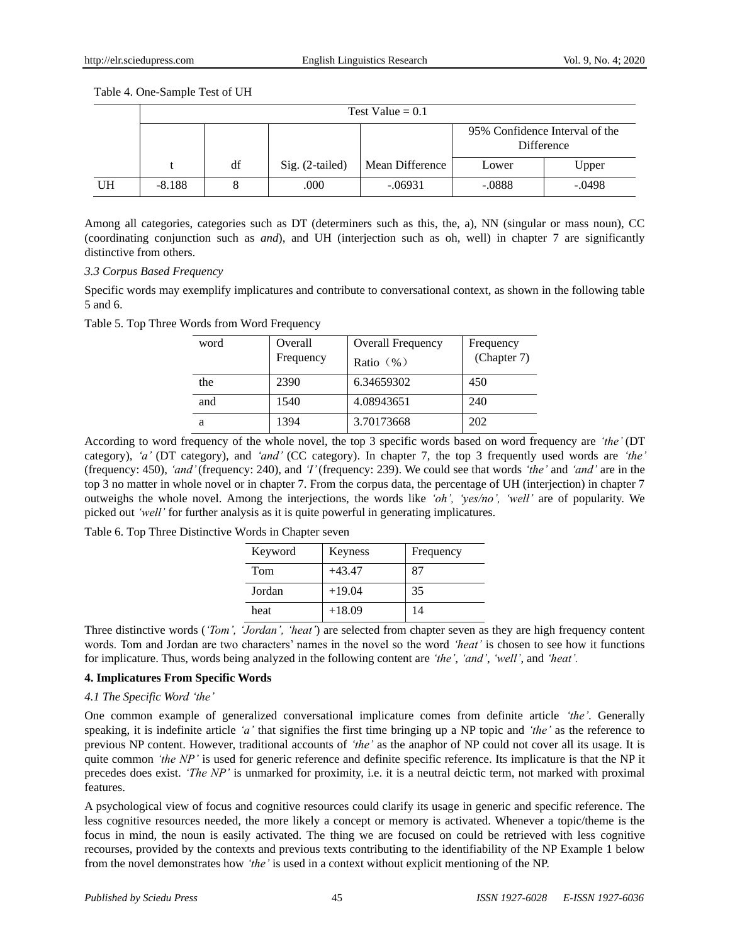Table 4. One-Sample Test of UH

|           | Test Value = $0.1$ |    |                 |                 |                                              |          |
|-----------|--------------------|----|-----------------|-----------------|----------------------------------------------|----------|
|           |                    |    |                 |                 | 95% Confidence Interval of the<br>Difference |          |
|           |                    | df | Sig. (2-tailed) | Mean Difference | Lower                                        | Upper    |
| <b>UH</b> | $-8.188$           |    | .000            | $-.06931$       | $-.0888$                                     | $-.0498$ |

Among all categories, categories such as DT (determiners such as this, the, a), NN (singular or mass noun), CC (coordinating conjunction such as *and*), and UH (interjection such as oh, well) in chapter 7 are significantly distinctive from others.

## *3.3 Corpus Based Frequency*

Specific words may exemplify implicatures and contribute to conversational context, as shown in the following table 5 and 6.

Table 5. Top Three Words from Word Frequency

| word | Overall<br>Frequency | <b>Overall Frequency</b><br>Ratio $(\frac{9}{6})$ | Frequency<br>(Chapter 7) |
|------|----------------------|---------------------------------------------------|--------------------------|
| the  | 2390                 | 6.34659302                                        | 450                      |
| and  | 1540                 | 4.08943651                                        | 240                      |
| а    | 1394                 | 3.70173668                                        | 202                      |

According to word frequency of the whole novel, the top 3 specific words based on word frequency are *'the'* (DT category), *'a'* (DT category), and *'and'* (CC category). In chapter 7, the top 3 frequently used words are *'the'*  (frequency: 450), *'and'* (frequency: 240)*,* and *'I'* (frequency: 239). We could see that words *'the'* and *'and'* are in the top 3 no matter in whole novel or in chapter 7. From the corpus data, the percentage of UH (interjection) in chapter 7 outweighs the whole novel. Among the interjections, the words like *'oh', 'yes/no', 'well'* are of popularity. We picked out *'well'* for further analysis as it is quite powerful in generating implicatures.

Table 6. Top Three Distinctive Words in Chapter seven

| Keyword | Keyness  | Frequency |
|---------|----------|-----------|
| Tom     | $+43.47$ | 87        |
| Jordan  | $+19.04$ | 35        |
| heat    | $+18.09$ | 14        |

Three distinctive words (*'Tom', 'Jordan', 'heat'*) are selected from chapter seven as they are high frequency content words. Tom and Jordan are two characters' names in the novel so the word *'heat'* is chosen to see how it functions for implicature. Thus, words being analyzed in the following content are *'the'*, *'and'*, *'well'*, and *'heat'.*

### **4. Implicatures From Specific Words**

### *4.1 The Specific Word 'the'*

One common example of generalized conversational implicature comes from definite article *'the'*. Generally speaking, it is indefinite article *'a'* that signifies the first time bringing up a NP topic and *'the'* as the reference to previous NP content. However, traditional accounts of *'the'* as the anaphor of NP could not cover all its usage. It is quite common *'the NP'* is used for generic reference and definite specific reference. Its implicature is that the NP it precedes does exist. *'The NP'* is unmarked for proximity, i.e. it is a neutral deictic term, not marked with proximal features.

A psychological view of focus and cognitive resources could clarify its usage in generic and specific reference. The less cognitive resources needed, the more likely a concept or memory is activated. Whenever a topic/theme is the focus in mind, the noun is easily activated. The thing we are focused on could be retrieved with less cognitive recourses, provided by the contexts and previous texts contributing to the identifiability of the NP Example 1 below from the novel demonstrates how *'the'* is used in a context without explicit mentioning of the NP.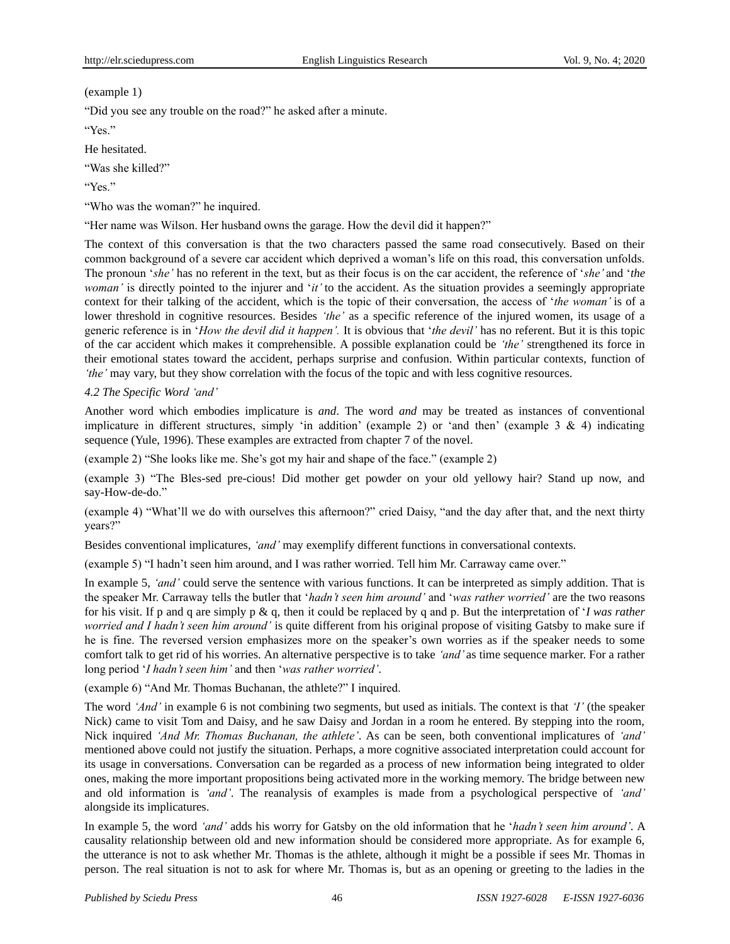(example 1)

"Did you see any trouble on the road?" he asked after a minute.

"Yes"

He hesitated.

"Was she killed?"

"Yes"

"Who was the woman?" he inquired.

"Her name was Wilson. Her husband owns the garage. How the devil did it happen?"

The context of this conversation is that the two characters passed the same road consecutively. Based on their common background of a severe car accident which deprived a woman's life on this road, this conversation unfolds. The pronoun '*she'* has no referent in the text, but as their focus is on the car accident, the reference of '*she'* and '*the woman'* is directly pointed to the injurer and '*it'* to the accident. As the situation provides a seemingly appropriate context for their talking of the accident, which is the topic of their conversation, the access of '*the woman'* is of a lower threshold in cognitive resources. Besides *'the'* as a specific reference of the injured women, its usage of a generic reference is in '*How the devil did it happen'.* It is obvious that '*the devil'* has no referent. But it is this topic of the car accident which makes it comprehensible. A possible explanation could be *'the'* strengthened its force in their emotional states toward the accident, perhaps surprise and confusion. Within particular contexts, function of *'the'* may vary, but they show correlation with the focus of the topic and with less cognitive resources.

# *4.2 The Specific Word 'and'*

Another word which embodies implicature is *and*. The word *and* may be treated as instances of conventional implicature in different structures, simply 'in addition' (example 2) or 'and then' (example 3 & 4) indicating sequence (Yule, 1996). These examples are extracted from chapter 7 of the novel.

(example 2) "She looks like me. She's got my hair and shape of the face." (example 2)

(example 3) "The Bles-sed pre-cious! Did mother get powder on your old yellowy hair? Stand up now, and say-How-de-do."

(example 4) "What'll we do with ourselves this afternoon?" cried Daisy, "and the day after that, and the next thirty years?"

Besides conventional implicatures, *'and'* may exemplify different functions in conversational contexts.

(example 5) "I hadn't seen him around, and I was rather worried. Tell him Mr. Carraway came over."

In example 5, *'and'* could serve the sentence with various functions. It can be interpreted as simply addition. That is the speaker Mr. Carraway tells the butler that '*hadn't seen him around'* and '*was rather worried'* are the two reasons for his visit. If p and q are simply p & q, then it could be replaced by q and p. But the interpretation of '*I was rather worried and I hadn't seen him around'* is quite different from his original propose of visiting Gatsby to make sure if he is fine. The reversed version emphasizes more on the speaker's own worries as if the speaker needs to some comfort talk to get rid of his worries. An alternative perspective is to take *'and'* as time sequence marker. For a rather long period '*I hadn't seen him'* and then '*was rather worried'*.

(example 6) "And Mr. Thomas Buchanan, the athlete?" I inquired.

The word *'And'* in example 6 is not combining two segments, but used as initials. The context is that *'I'* (the speaker Nick) came to visit Tom and Daisy, and he saw Daisy and Jordan in a room he entered. By stepping into the room, Nick inquired *'And Mr. Thomas Buchanan, the athlete'*. As can be seen, both conventional implicatures of *'and'* mentioned above could not justify the situation. Perhaps, a more cognitive associated interpretation could account for its usage in conversations. Conversation can be regarded as a process of new information being integrated to older ones, making the more important propositions being activated more in the working memory. The bridge between new and old information is *'and'*. The reanalysis of examples is made from a psychological perspective of *'and'* alongside its implicatures.

In example 5, the word *'and'* adds his worry for Gatsby on the old information that he '*hadn't seen him around'*. A causality relationship between old and new information should be considered more appropriate. As for example 6, the utterance is not to ask whether Mr. Thomas is the athlete, although it might be a possible if sees Mr. Thomas in person. The real situation is not to ask for where Mr. Thomas is, but as an opening or greeting to the ladies in the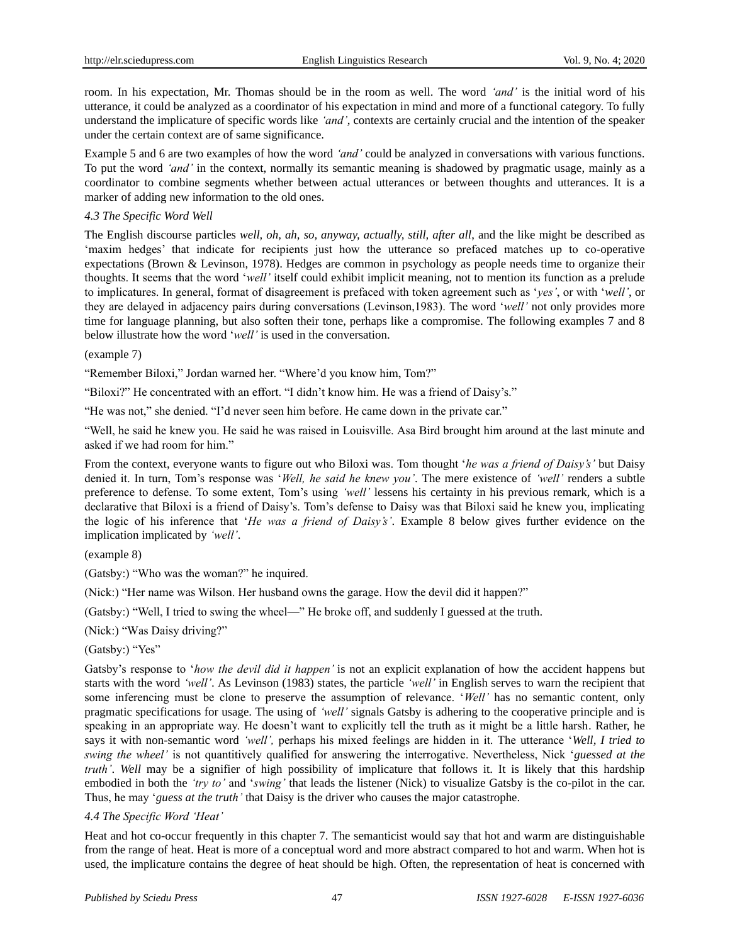room. In his expectation, Mr. Thomas should be in the room as well. The word *'and'* is the initial word of his utterance, it could be analyzed as a coordinator of his expectation in mind and more of a functional category. To fully understand the implicature of specific words like *'and'*, contexts are certainly crucial and the intention of the speaker under the certain context are of same significance.

Example 5 and 6 are two examples of how the word *'and'* could be analyzed in conversations with various functions. To put the word *'and'* in the context, normally its semantic meaning is shadowed by pragmatic usage, mainly as a coordinator to combine segments whether between actual utterances or between thoughts and utterances. It is a marker of adding new information to the old ones.

## *4.3 The Specific Word Well*

The English discourse particles *well, oh, ah, so, anyway, actually, still, after all*, and the like might be described as 'maxim hedges' that indicate for recipients just how the utterance so prefaced matches up to co-operative expectations (Brown & Levinson, 1978). Hedges are common in psychology as people needs time to organize their thoughts. It seems that the word '*well'* itself could exhibit implicit meaning, not to mention its function as a prelude to implicatures. In general, format of disagreement is prefaced with token agreement such as '*yes'*, or with '*well'*, or they are delayed in adjacency pairs during conversations (Levinson,1983). The word '*well'* not only provides more time for language planning, but also soften their tone, perhaps like a compromise. The following examples 7 and 8 below illustrate how the word '*well'* is used in the conversation.

#### (example 7)

"Remember Biloxi," Jordan warned her. "Where'd you know him, Tom?"

"Biloxi?" He concentrated with an effort. "I didn't know him. He was a friend of Daisy's."

"He was not," she denied. "I'd never seen him before. He came down in the private car."

"Well, he said he knew you. He said he was raised in Louisville. Asa Bird brought him around at the last minute and asked if we had room for him."

From the context, everyone wants to figure out who Biloxi was. Tom thought '*he was a friend of Daisy's'* but Daisy denied it. In turn, Tom's response was '*Well, he said he knew you'*. The mere existence of *'well'* renders a subtle preference to defense. To some extent, Tom's using *'well'* lessens his certainty in his previous remark, which is a declarative that Biloxi is a friend of Daisy's. Tom's defense to Daisy was that Biloxi said he knew you, implicating the logic of his inference that '*He was a friend of Daisy's'*. Example 8 below gives further evidence on the implication implicated by *'well'*.

(example 8)

(Gatsby:) "Who was the woman?" he inquired.

(Nick:) "Her name was Wilson. Her husband owns the garage. How the devil did it happen?"

(Gatsby:) "Well, I tried to swing the wheel—" He broke off, and suddenly I guessed at the truth.

(Nick:) "Was Daisy driving?"

(Gatsby:) "Yes"

Gatsby's response to '*how the devil did it happen'* is not an explicit explanation of how the accident happens but starts with the word *'well'*. As Levinson (1983) states, the particle *'well'* in English serves to warn the recipient that some inferencing must be clone to preserve the assumption of relevance. '*Well'* has no semantic content, only pragmatic specifications for usage. The using of *'well'* signals Gatsby is adhering to the cooperative principle and is speaking in an appropriate way. He doesn't want to explicitly tell the truth as it might be a little harsh. Rather, he says it with non-semantic word *'well',* perhaps his mixed feelings are hidden in it. The utterance '*Well, I tried to swing the wheel'* is not quantitively qualified for answering the interrogative. Nevertheless, Nick '*guessed at the truth'*. *Well* may be a signifier of high possibility of implicature that follows it. It is likely that this hardship embodied in both the *'try to'* and '*swing'* that leads the listener (Nick) to visualize Gatsby is the co-pilot in the car. Thus, he may '*guess at the truth'* that Daisy is the driver who causes the major catastrophe.

### *4.4 The Specific Word 'Heat'*

Heat and hot co-occur frequently in this chapter 7. The semanticist would say that hot and warm are distinguishable from the range of heat. Heat is more of a conceptual word and more abstract compared to hot and warm. When hot is used, the implicature contains the degree of heat should be high. Often, the representation of heat is concerned with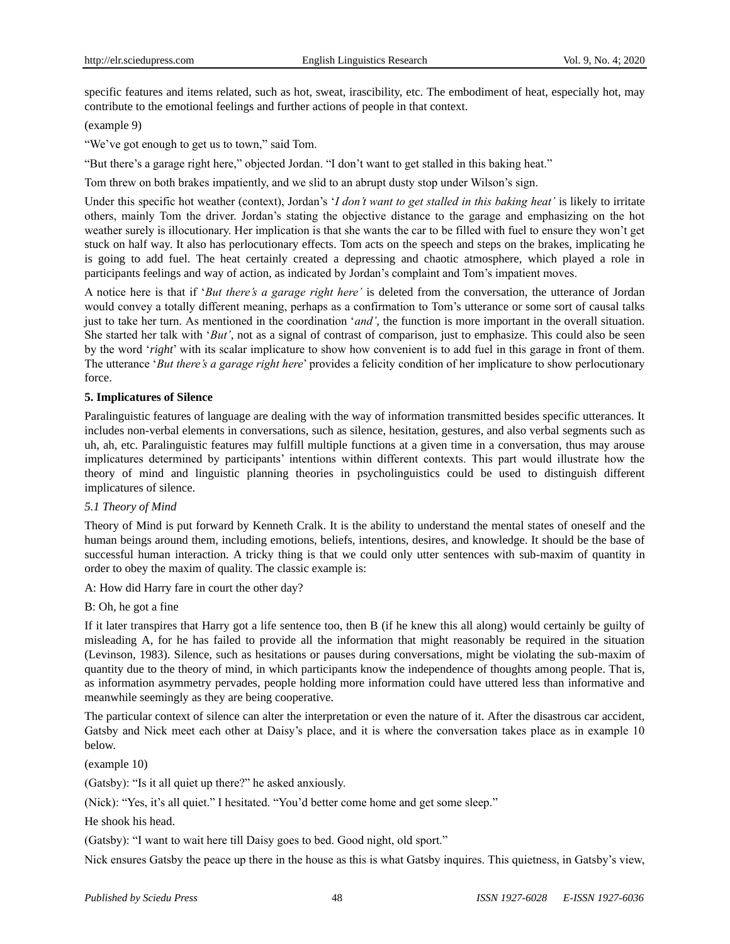specific features and items related, such as hot, sweat, irascibility, etc. The embodiment of heat, especially hot, may contribute to the emotional feelings and further actions of people in that context.

### (example 9)

"We've got enough to get us to town," said Tom.

"But there's a garage right here," objected Jordan. "I don't want to get stalled in this baking heat."

Tom threw on both brakes impatiently, and we slid to an abrupt dusty stop under Wilson's sign.

Under this specific hot weather (context), Jordan's '*I don't want to get stalled in this baking heat'* is likely to irritate others, mainly Tom the driver. Jordan's stating the objective distance to the garage and emphasizing on the hot weather surely is illocutionary. Her implication is that she wants the car to be filled with fuel to ensure they won't get stuck on half way. It also has perlocutionary effects. Tom acts on the speech and steps on the brakes, implicating he is going to add fuel. The heat certainly created a depressing and chaotic atmosphere, which played a role in participants feelings and way of action, as indicated by Jordan's complaint and Tom's impatient moves.

A notice here is that if '*But there's a garage right here'* is deleted from the conversation, the utterance of Jordan would convey a totally different meaning, perhaps as a confirmation to Tom's utterance or some sort of causal talks just to take her turn. As mentioned in the coordination '*and'*, the function is more important in the overall situation. She started her talk with '*But'*, not as a signal of contrast of comparison, just to emphasize. This could also be seen by the word '*right*' with its scalar implicature to show how convenient is to add fuel in this garage in front of them. The utterance '*But there's a garage right here*' provides a felicity condition of her implicature to show perlocutionary force.

#### **5. Implicatures of Silence**

Paralinguistic features of language are dealing with the way of information transmitted besides specific utterances. It includes non-verbal elements in conversations, such as silence, hesitation, gestures, and also verbal segments such as uh, ah, etc. Paralinguistic features may fulfill multiple functions at a given time in a conversation, thus may arouse implicatures determined by participants' intentions within different contexts. This part would illustrate how the theory of mind and linguistic planning theories in psycholinguistics could be used to distinguish different implicatures of silence.

### *5.1 Theory of Mind*

Theory of Mind is put forward by Kenneth Cralk. It is the ability to understand the mental states of oneself and the human beings around them, including emotions, beliefs, intentions, desires, and knowledge. It should be the base of successful human interaction. A tricky thing is that we could only utter sentences with sub-maxim of quantity in order to obey the maxim of quality. The classic example is:

A: How did Harry fare in court the other day?

### B: Oh, he got a fine

If it later transpires that Harry got a life sentence too, then B (if he knew this all along) would certainly be guilty of misleading A, for he has failed to provide all the information that might reasonably be required in the situation (Levinson, 1983). Silence, such as hesitations or pauses during conversations, might be violating the sub-maxim of quantity due to the theory of mind, in which participants know the independence of thoughts among people. That is, as information asymmetry pervades, people holding more information could have uttered less than informative and meanwhile seemingly as they are being cooperative.

The particular context of silence can alter the interpretation or even the nature of it. After the disastrous car accident, Gatsby and Nick meet each other at Daisy's place, and it is where the conversation takes place as in example 10 below.

(example 10)

(Gatsby): "Is it all quiet up there?" he asked anxiously.

(Nick): "Yes, it's all quiet." I hesitated. "You'd better come home and get some sleep."

He shook his head.

(Gatsby): "I want to wait here till Daisy goes to bed. Good night, old sport."

Nick ensures Gatsby the peace up there in the house as this is what Gatsby inquires. This quietness, in Gatsby's view,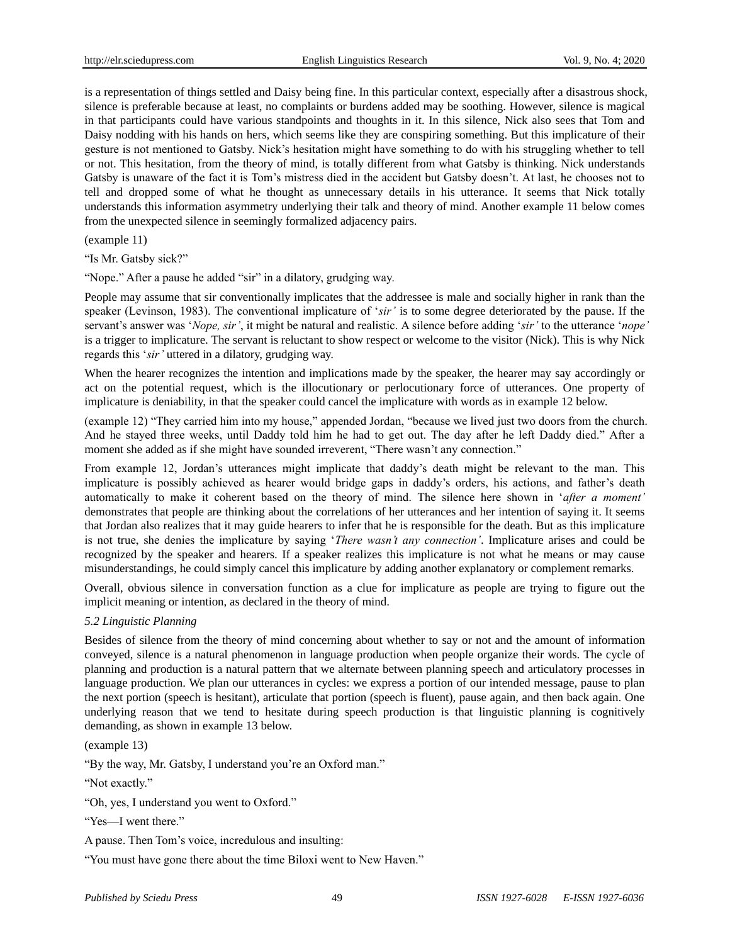is a representation of things settled and Daisy being fine. In this particular context, especially after a disastrous shock, silence is preferable because at least, no complaints or burdens added may be soothing. However, silence is magical in that participants could have various standpoints and thoughts in it. In this silence, Nick also sees that Tom and Daisy nodding with his hands on hers, which seems like they are conspiring something. But this implicature of their gesture is not mentioned to Gatsby. Nick's hesitation might have something to do with his struggling whether to tell or not. This hesitation, from the theory of mind, is totally different from what Gatsby is thinking. Nick understands Gatsby is unaware of the fact it is Tom's mistress died in the accident but Gatsby doesn't. At last, he chooses not to tell and dropped some of what he thought as unnecessary details in his utterance. It seems that Nick totally understands this information asymmetry underlying their talk and theory of mind. Another example 11 below comes from the unexpected silence in seemingly formalized adjacency pairs.

(example 11)

"Is Mr. Gatsby sick?"

"Nope." After a pause he added "sir" in a dilatory, grudging way.

People may assume that sir conventionally implicates that the addressee is male and socially higher in rank than the speaker (Levinson, 1983). The conventional implicature of '*sir'* is to some degree deteriorated by the pause. If the servant's answer was '*Nope, sir'*, it might be natural and realistic. A silence before adding '*sir'* to the utterance '*nope'* is a trigger to implicature. The servant is reluctant to show respect or welcome to the visitor (Nick). This is why Nick regards this '*sir'* uttered in a dilatory, grudging way.

When the hearer recognizes the intention and implications made by the speaker, the hearer may say accordingly or act on the potential request, which is the illocutionary or perlocutionary force of utterances. One property of implicature is deniability, in that the speaker could cancel the implicature with words as in example 12 below.

(example 12) "They carried him into my house," appended Jordan, "because we lived just two doors from the church. And he stayed three weeks, until Daddy told him he had to get out. The day after he left Daddy died." After a moment she added as if she might have sounded irreverent, "There wasn't any connection."

From example 12, Jordan's utterances might implicate that daddy's death might be relevant to the man. This implicature is possibly achieved as hearer would bridge gaps in daddy's orders, his actions, and father's death automatically to make it coherent based on the theory of mind. The silence here shown in '*after a moment'* demonstrates that people are thinking about the correlations of her utterances and her intention of saying it. It seems that Jordan also realizes that it may guide hearers to infer that he is responsible for the death. But as this implicature is not true, she denies the implicature by saying '*There wasn't any connection'*. Implicature arises and could be recognized by the speaker and hearers. If a speaker realizes this implicature is not what he means or may cause misunderstandings, he could simply cancel this implicature by adding another explanatory or complement remarks.

Overall, obvious silence in conversation function as a clue for implicature as people are trying to figure out the implicit meaning or intention, as declared in the theory of mind.

# *5.2 Linguistic Planning*

Besides of silence from the theory of mind concerning about whether to say or not and the amount of information conveyed, silence is a natural phenomenon in language production when people organize their words. The cycle of planning and production is a natural pattern that we alternate between planning speech and articulatory processes in language production. We plan our utterances in cycles: we express a portion of our intended message, pause to plan the next portion (speech is hesitant), articulate that portion (speech is fluent), pause again, and then back again. One underlying reason that we tend to hesitate during speech production is that linguistic planning is cognitively demanding, as shown in example 13 below.

(example 13)

"By the way, Mr. Gatsby, I understand you're an Oxford man."

"Not exactly."

"Oh, yes, I understand you went to Oxford."

"Yes—I went there."

A pause. Then Tom's voice, incredulous and insulting:

"You must have gone there about the time Biloxi went to New Haven."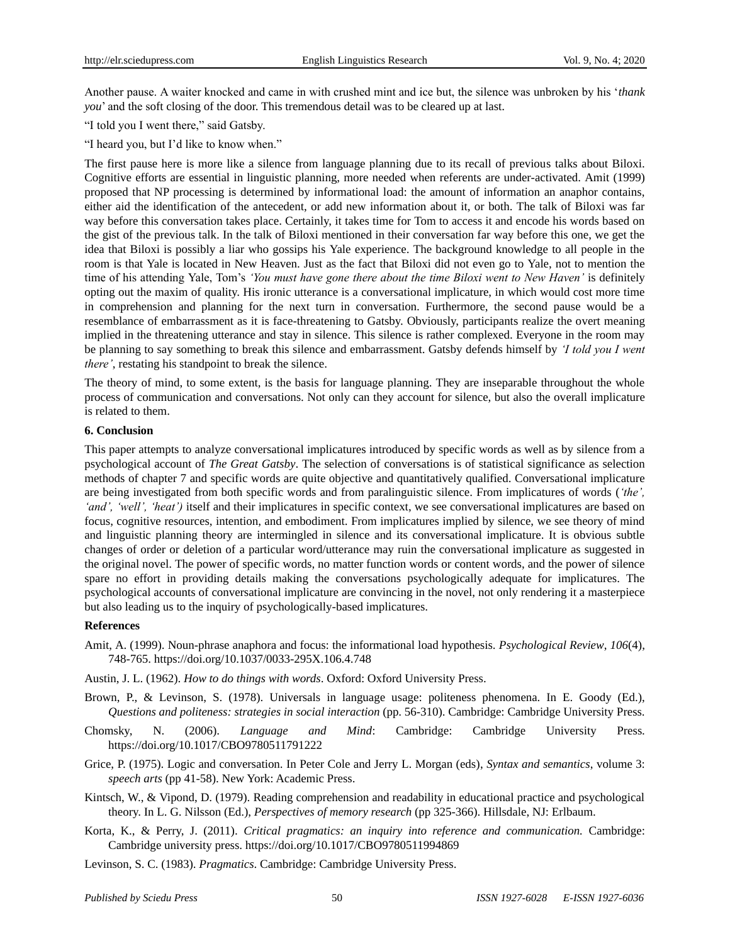Another pause. A waiter knocked and came in with crushed mint and ice but, the silence was unbroken by his '*thank you*' and the soft closing of the door. This tremendous detail was to be cleared up at last.

- "I told you I went there," said Gatsby.
- "I heard you, but I'd like to know when."

The first pause here is more like a silence from language planning due to its recall of previous talks about Biloxi. Cognitive efforts are essential in linguistic planning, more needed when referents are under-activated. Amit (1999) proposed that NP processing is determined by informational load: the amount of information an anaphor contains, either aid the identification of the antecedent, or add new information about it, or both. The talk of Biloxi was far way before this conversation takes place. Certainly, it takes time for Tom to access it and encode his words based on the gist of the previous talk. In the talk of Biloxi mentioned in their conversation far way before this one, we get the idea that Biloxi is possibly a liar who gossips his Yale experience. The background knowledge to all people in the room is that Yale is located in New Heaven. Just as the fact that Biloxi did not even go to Yale, not to mention the time of his attending Yale, Tom's *'You must have gone there about the time Biloxi went to New Haven'* is definitely opting out the maxim of quality. His ironic utterance is a conversational implicature, in which would cost more time in comprehension and planning for the next turn in conversation. Furthermore, the second pause would be a resemblance of embarrassment as it is face-threatening to Gatsby. Obviously, participants realize the overt meaning implied in the threatening utterance and stay in silence. This silence is rather complexed. Everyone in the room may be planning to say something to break this silence and embarrassment. Gatsby defends himself by *'I told you I went there'*, restating his standpoint to break the silence.

The theory of mind, to some extent, is the basis for language planning. They are inseparable throughout the whole process of communication and conversations. Not only can they account for silence, but also the overall implicature is related to them.

#### **6. Conclusion**

This paper attempts to analyze conversational implicatures introduced by specific words as well as by silence from a psychological account of *The Great Gatsby*. The selection of conversations is of statistical significance as selection methods of chapter 7 and specific words are quite objective and quantitatively qualified. Conversational implicature are being investigated from both specific words and from paralinguistic silence. From implicatures of words (*'the', 'and', 'well', 'heat')* itself and their implicatures in specific context, we see conversational implicatures are based on focus, cognitive resources, intention, and embodiment. From implicatures implied by silence, we see theory of mind and linguistic planning theory are intermingled in silence and its conversational implicature. It is obvious subtle changes of order or deletion of a particular word/utterance may ruin the conversational implicature as suggested in the original novel. The power of specific words, no matter function words or content words, and the power of silence spare no effort in providing details making the conversations psychologically adequate for implicatures. The psychological accounts of conversational implicature are convincing in the novel, not only rendering it a masterpiece but also leading us to the inquiry of psychologically-based implicatures.

#### **References**

- Amit, A. (1999). Noun-phrase anaphora and focus: the informational load hypothesis. *Psychological Review*, *106*(4), 748-765.<https://doi.org/10.1037/0033-295X.106.4.748>
- Austin, J. L. (1962). *How to do things with words*. Oxford: Oxford University Press.
- Brown, P., & Levinson, S. (1978). Universals in language usage: politeness phenomena. In E. Goody (Ed.), *Questions and politeness: strategies in social interaction* (pp. 56-310). Cambridge: Cambridge University Press.
- Chomsky, N. (2006). *Language and Mind*: Cambridge: Cambridge University Press. <https://doi.org/10.1017/CBO9780511791222>
- Grice, P. (1975). Logic and conversation. In Peter Cole and Jerry L. Morgan (eds), *Syntax and semantics*, volume 3: *speech arts* (pp 41-58). New York: Academic Press.
- Kintsch, W., & Vipond, D. (1979). Reading comprehension and readability in educational practice and psychological theory. In L. G. Nilsson (Ed.), *Perspectives of memory research* (pp 325-366). Hillsdale, NJ: Erlbaum.
- Korta, K., & Perry, J. (2011). *Critical pragmatics: an inquiry into reference and communication.* Cambridge: Cambridge university press.<https://doi.org/10.1017/CBO9780511994869>
- Levinson, S. C. (1983). *Pragmatics*. Cambridge: Cambridge University Press.